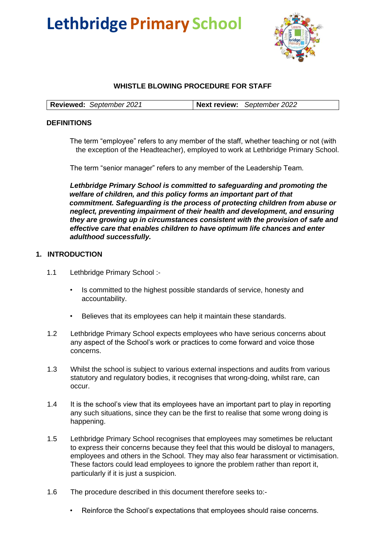# **Lethbridge Primary School**



# **WHISTLE BLOWING PROCEDURE FOR STAFF**

| <b>Reviewed:</b> September 2021 | Next review: September 2022 |  |
|---------------------------------|-----------------------------|--|
|---------------------------------|-----------------------------|--|

## **DEFINITIONS**

The term "employee" refers to any member of the staff, whether teaching or not (with the exception of the Headteacher), employed to work at Lethbridge Primary School.

The term "senior manager" refers to any member of the Leadership Team.

*Lethbridge Primary School is committed to safeguarding and promoting the welfare of children, and this policy forms an important part of that commitment. Safeguarding is the process of protecting children from abuse or neglect, preventing impairment of their health and development, and ensuring they are growing up in circumstances consistent with the provision of safe and effective care that enables children to have optimum life chances and enter adulthood successfully.* 

## **1. INTRODUCTION**

- 1.1 Lethbridge Primary School :-
	- Is committed to the highest possible standards of service, honesty and accountability.
	- Believes that its employees can help it maintain these standards.
- 1.2 Lethbridge Primary School expects employees who have serious concerns about any aspect of the School's work or practices to come forward and voice those concerns.
- 1.3 Whilst the school is subject to various external inspections and audits from various statutory and regulatory bodies, it recognises that wrong-doing, whilst rare, can occur.
- 1.4 It is the school's view that its employees have an important part to play in reporting any such situations, since they can be the first to realise that some wrong doing is happening.
- 1.5 Lethbridge Primary School recognises that employees may sometimes be reluctant to express their concerns because they feel that this would be disloyal to managers, employees and others in the School. They may also fear harassment or victimisation. These factors could lead employees to ignore the problem rather than report it, particularly if it is just a suspicion.
- 1.6 The procedure described in this document therefore seeks to:-
	- Reinforce the School's expectations that employees should raise concerns.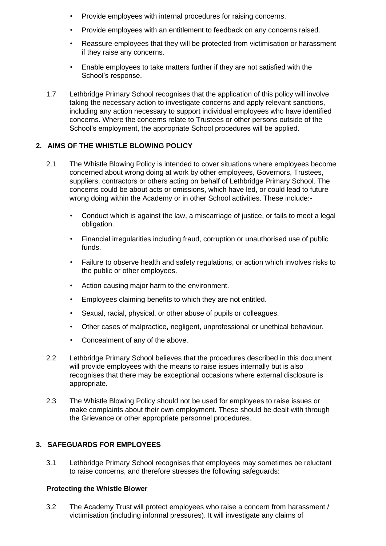- Provide employees with internal procedures for raising concerns.
- Provide employees with an entitlement to feedback on any concerns raised.
- Reassure employees that they will be protected from victimisation or harassment if they raise any concerns.
- Enable employees to take matters further if they are not satisfied with the School's response.
- 1.7 Lethbridge Primary School recognises that the application of this policy will involve taking the necessary action to investigate concerns and apply relevant sanctions, including any action necessary to support individual employees who have identified concerns. Where the concerns relate to Trustees or other persons outside of the School's employment, the appropriate School procedures will be applied.

## **2. AIMS OF THE WHISTLE BLOWING POLICY**

- 2.1 The Whistle Blowing Policy is intended to cover situations where employees become concerned about wrong doing at work by other employees, Governors, Trustees, suppliers, contractors or others acting on behalf of Lethbridge Primary School. The concerns could be about acts or omissions, which have led, or could lead to future wrong doing within the Academy or in other School activities. These include:-
	- Conduct which is against the law, a miscarriage of justice, or fails to meet a legal obligation.
	- Financial irregularities including fraud, corruption or unauthorised use of public funds.
	- Failure to observe health and safety regulations, or action which involves risks to the public or other employees.
	- Action causing major harm to the environment.
	- Employees claiming benefits to which they are not entitled.
	- Sexual, racial, physical, or other abuse of pupils or colleagues.
	- Other cases of malpractice, negligent, unprofessional or unethical behaviour.
	- Concealment of any of the above.
- 2.2 Lethbridge Primary School believes that the procedures described in this document will provide employees with the means to raise issues internally but is also recognises that there may be exceptional occasions where external disclosure is appropriate.
- 2.3 The Whistle Blowing Policy should not be used for employees to raise issues or make complaints about their own employment. These should be dealt with through the Grievance or other appropriate personnel procedures.

#### **3. SAFEGUARDS FOR EMPLOYEES**

3.1 Lethbridge Primary School recognises that employees may sometimes be reluctant to raise concerns, and therefore stresses the following safeguards:

#### **Protecting the Whistle Blower**

3.2 The Academy Trust will protect employees who raise a concern from harassment / victimisation (including informal pressures). It will investigate any claims of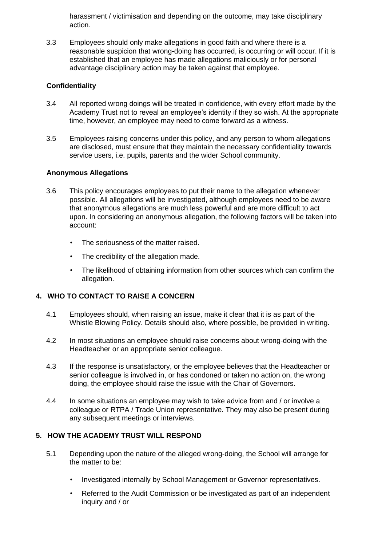harassment / victimisation and depending on the outcome, may take disciplinary action.

3.3 Employees should only make allegations in good faith and where there is a reasonable suspicion that wrong-doing has occurred, is occurring or will occur. If it is established that an employee has made allegations maliciously or for personal advantage disciplinary action may be taken against that employee.

## **Confidentiality**

- 3.4 All reported wrong doings will be treated in confidence, with every effort made by the Academy Trust not to reveal an employee's identity if they so wish. At the appropriate time, however, an employee may need to come forward as a witness.
- 3.5 Employees raising concerns under this policy, and any person to whom allegations are disclosed, must ensure that they maintain the necessary confidentiality towards service users, i.e. pupils, parents and the wider School community.

## **Anonymous Allegations**

- 3.6 This policy encourages employees to put their name to the allegation whenever possible. All allegations will be investigated, although employees need to be aware that anonymous allegations are much less powerful and are more difficult to act upon. In considering an anonymous allegation, the following factors will be taken into account:
	- The seriousness of the matter raised.
	- The credibility of the allegation made.
	- The likelihood of obtaining information from other sources which can confirm the allegation.

# **4. WHO TO CONTACT TO RAISE A CONCERN**

- 4.1 Employees should, when raising an issue, make it clear that it is as part of the Whistle Blowing Policy. Details should also, where possible, be provided in writing.
- 4.2 In most situations an employee should raise concerns about wrong-doing with the Headteacher or an appropriate senior colleague.
- 4.3 If the response is unsatisfactory, or the employee believes that the Headteacher or senior colleague is involved in, or has condoned or taken no action on, the wrong doing, the employee should raise the issue with the Chair of Governors.
- 4.4 In some situations an employee may wish to take advice from and / or involve a colleague or RTPA / Trade Union representative. They may also be present during any subsequent meetings or interviews.

#### **5. HOW THE ACADEMY TRUST WILL RESPOND**

- 5.1 Depending upon the nature of the alleged wrong-doing, the School will arrange for the matter to be:
	- Investigated internally by School Management or Governor representatives.
	- Referred to the Audit Commission or be investigated as part of an independent inquiry and / or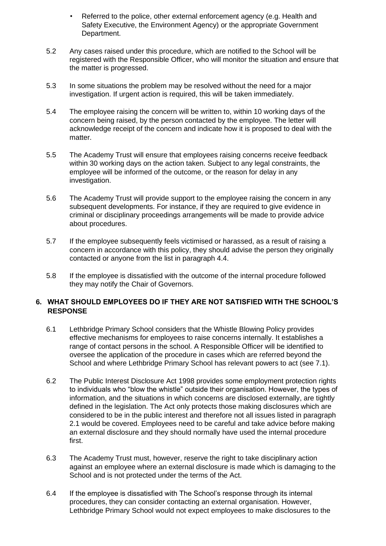- Referred to the police, other external enforcement agency (e.g. Health and Safety Executive, the Environment Agency) or the appropriate Government Department.
- 5.2 Any cases raised under this procedure, which are notified to the School will be registered with the Responsible Officer, who will monitor the situation and ensure that the matter is progressed.
- 5.3 In some situations the problem may be resolved without the need for a major investigation. If urgent action is required, this will be taken immediately.
- 5.4 The employee raising the concern will be written to, within 10 working days of the concern being raised, by the person contacted by the employee. The letter will acknowledge receipt of the concern and indicate how it is proposed to deal with the matter.
- 5.5 The Academy Trust will ensure that employees raising concerns receive feedback within 30 working days on the action taken. Subject to any legal constraints, the employee will be informed of the outcome, or the reason for delay in any investigation.
- 5.6 The Academy Trust will provide support to the employee raising the concern in any subsequent developments. For instance, if they are required to give evidence in criminal or disciplinary proceedings arrangements will be made to provide advice about procedures.
- 5.7 If the employee subsequently feels victimised or harassed, as a result of raising a concern in accordance with this policy, they should advise the person they originally contacted or anyone from the list in paragraph 4.4.
- 5.8 If the employee is dissatisfied with the outcome of the internal procedure followed they may notify the Chair of Governors.

# **6. WHAT SHOULD EMPLOYEES DO IF THEY ARE NOT SATISFIED WITH THE SCHOOL'S RESPONSE**

- 6.1 Lethbridge Primary School considers that the Whistle Blowing Policy provides effective mechanisms for employees to raise concerns internally. It establishes a range of contact persons in the school. A Responsible Officer will be identified to oversee the application of the procedure in cases which are referred beyond the School and where Lethbridge Primary School has relevant powers to act (see 7.1).
- 6.2 The Public Interest Disclosure Act 1998 provides some employment protection rights to individuals who "blow the whistle" outside their organisation. However, the types of information, and the situations in which concerns are disclosed externally, are tightly defined in the legislation. The Act only protects those making disclosures which are considered to be in the public interest and therefore not all issues listed in paragraph 2.1 would be covered. Employees need to be careful and take advice before making an external disclosure and they should normally have used the internal procedure first.
- 6.3 The Academy Trust must, however, reserve the right to take disciplinary action against an employee where an external disclosure is made which is damaging to the School and is not protected under the terms of the Act.
- 6.4 If the employee is dissatisfied with The School's response through its internal procedures, they can consider contacting an external organisation. However, Lethbridge Primary School would not expect employees to make disclosures to the